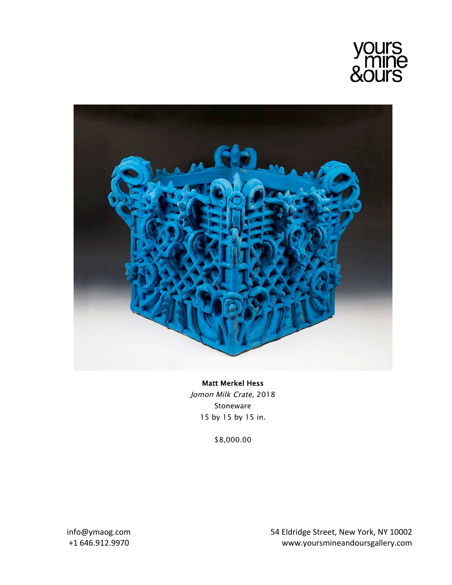



## Matt Merkel Hess Jomon Milk Crate, 2018 Stoneware 15 by 15 by 15 in.

\$8,000.00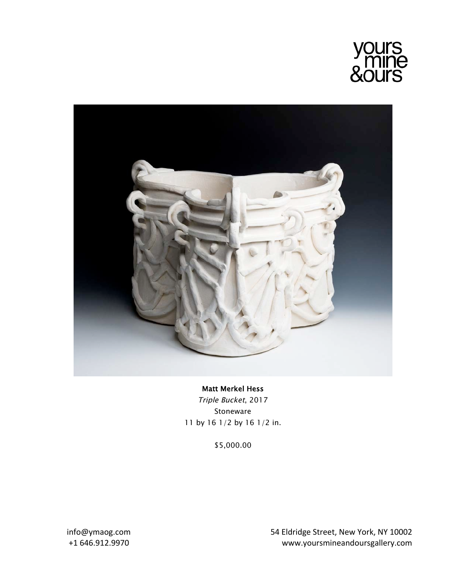



## Matt Merkel Hess Triple Bucket, 2017 Stoneware 11 by 16 1/2 by 16 1/2 in.

\$5,000.00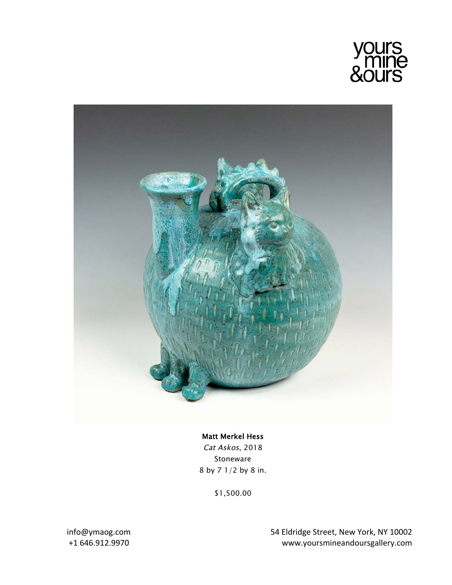



## Matt Merkel Hess

Cat Askos, 2018 Stoneware 8 by 7 1/2 by 8 in.

\$1,500.00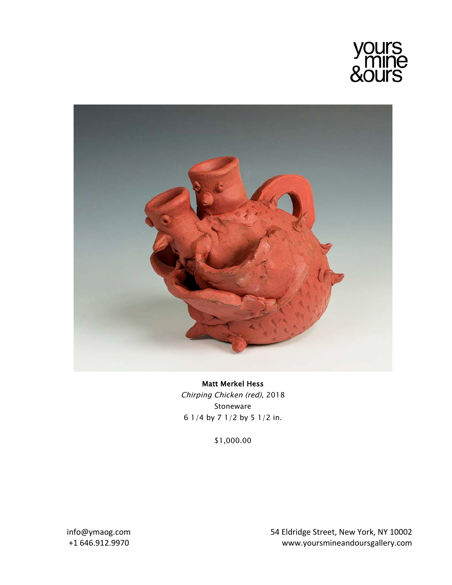



Matt Merkel Hess Chirping Chicken (red), 2018 Stoneware 6 1/4 by 7 1/2 by 5 1/2 in.

\$1,000.00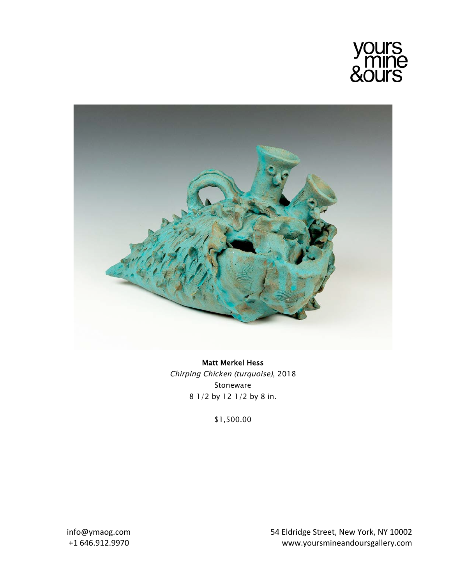



Matt Merkel Hess Chirping Chicken (turquoise), 2018 Stoneware 8 1/2 by 12 1/2 by 8 in.

\$1,500.00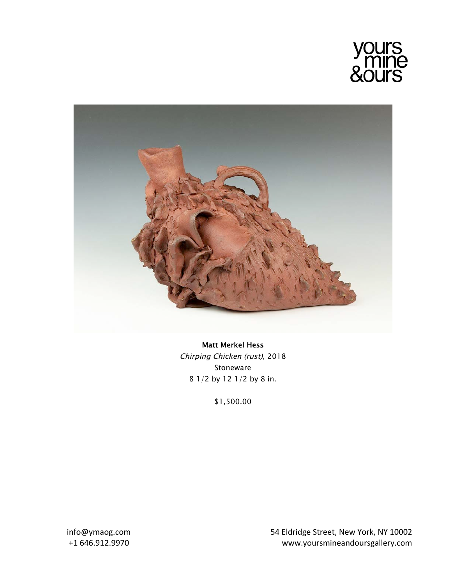



Matt Merkel Hess Chirping Chicken (rust), 2018 Stoneware 8 1/2 by 12 1/2 by 8 in.

\$1,500.00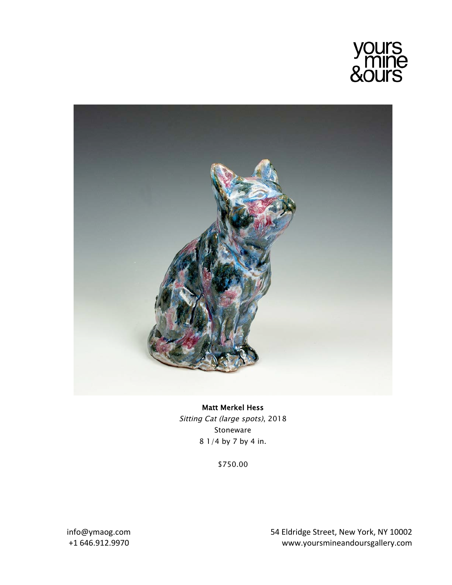



Matt Merkel Hess Sitting Cat (large spots), 2018 Stoneware 8 1/4 by 7 by 4 in.

\$750.00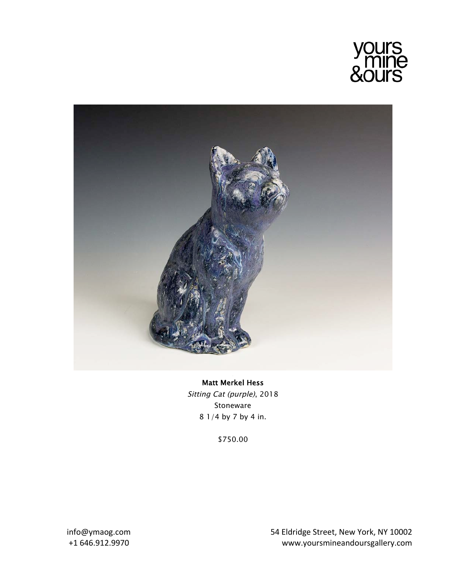



## Matt Merkel Hess Sitting Cat (purple), 2018 Stoneware 8 1/4 by 7 by 4 in.

\$750.00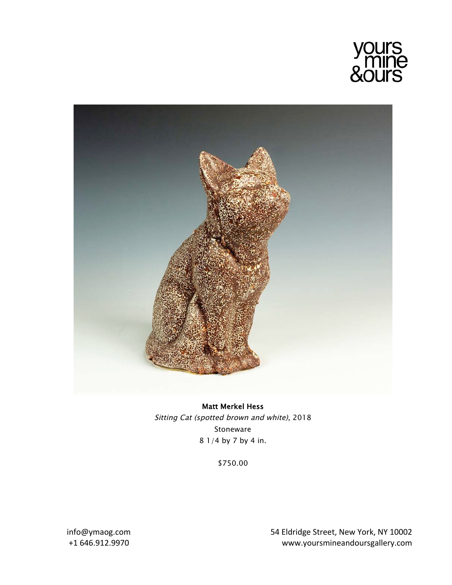



Matt Merkel Hess Sitting Cat (spotted brown and white), 2018 Stoneware 8 1/4 by 7 by 4 in.

\$750.00